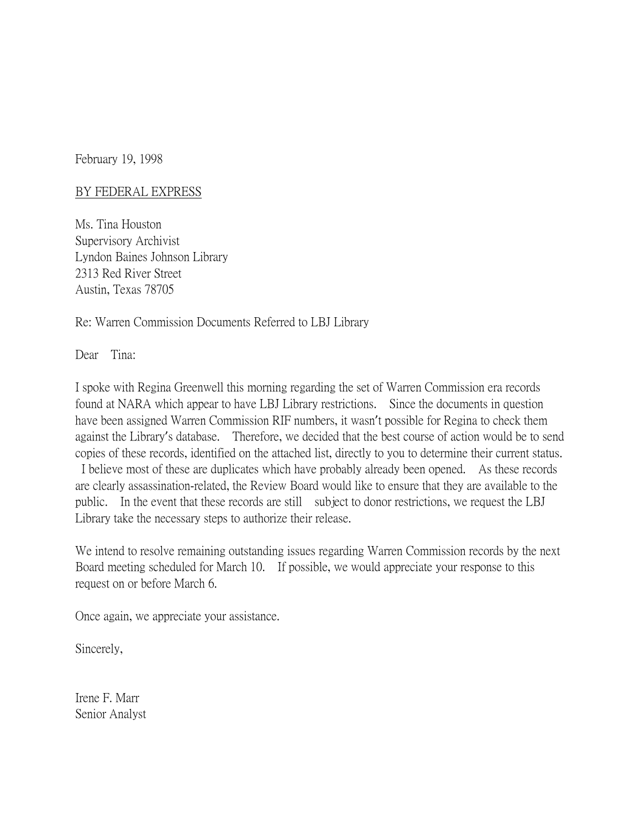February 19, 1998

## BY FEDERAL EXPRESS

Ms. Tina Houston Supervisory Archivist Lyndon Baines Johnson Library 2313 Red River Street Austin, Texas 78705

Re: Warren Commission Documents Referred to LBJ Library

Dear Tina:

I spoke with Regina Greenwell this morning regarding the set of Warren Commission era records found at NARA which appear to have LBJ Library restrictions. Since the documents in question have been assigned Warren Commission RIF numbers, it wasn't possible for Regina to check them against the Library's database. Therefore, we decided that the best course of action would be to send copies of these records, identified on the attached list, directly to you to determine their current status. I believe most of these are duplicates which have probably already been opened. As these records are clearly assassination-related, the Review Board would like to ensure that they are available to the public. In the event that these records are still subject to donor restrictions, we request the LBJ Library take the necessary steps to authorize their release.

We intend to resolve remaining outstanding issues regarding Warren Commission records by the next Board meeting scheduled for March 10. If possible, we would appreciate your response to this request on or before March 6.

Once again, we appreciate your assistance.

Sincerely,

Irene F. Marr Senior Analyst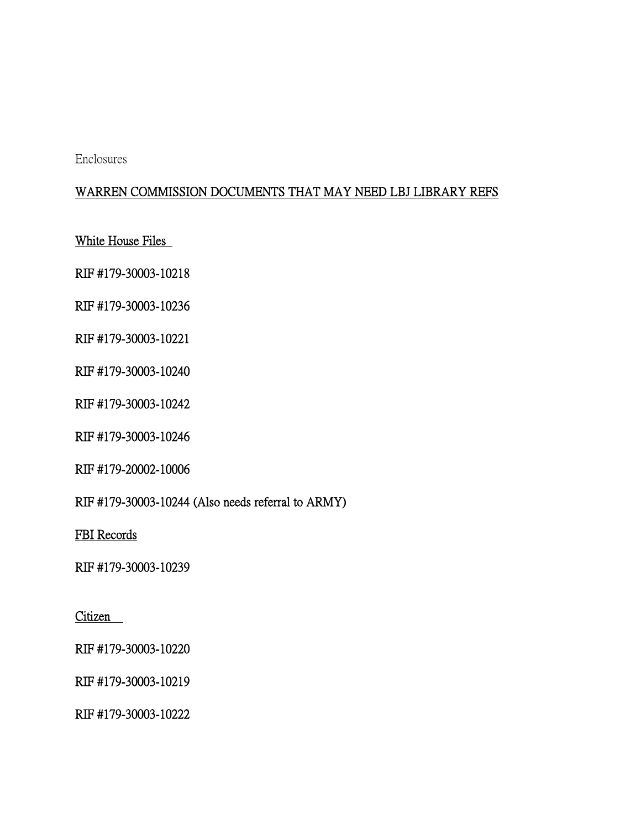Enclosures

## WARREN COMMISSION DOCUMENTS THAT MAY NEED LBJ LIBRARY REFS

White House Files

RIF #179-30003-10218

RIF #179-30003-10236

RIF #179-30003-10221

RIF #179-30003-10240

RIF #179-30003-10242

RIF #179-30003-10246

RIF #179-20002-10006

RIF #179-30003-10244 (Also needs referral to ARMY)

FBI Records

RIF #179-30003-10239

Citizen

RIF #179-30003-10220

RIF #179-30003-10219

RIF #179-30003-10222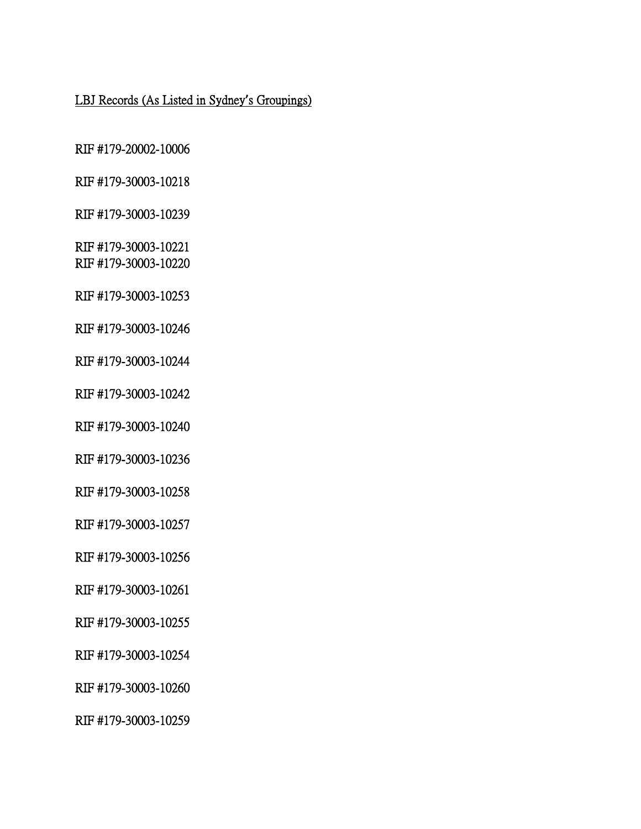## LBJ Records (As Listed in Sydney**'**s Groupings)

RIF #179-20002-10006

RIF #179-30003-10218

RIF #179-30003-10239

RIF #179-30003-10221 RIF #179-30003-10220

RIF #179-30003-10253

RIF #179-30003-10246

RIF #179-30003-10244

RIF #179-30003-10242

RIF #179-30003-10240

RIF #179-30003-10236

RIF #179-30003-10258

RIF #179-30003-10257

RIF #179-30003-10256

RIF #179-30003-10261

RIF #179-30003-10255

RIF #179-30003-10254

RIF #179-30003-10260

RIF #179-30003-10259